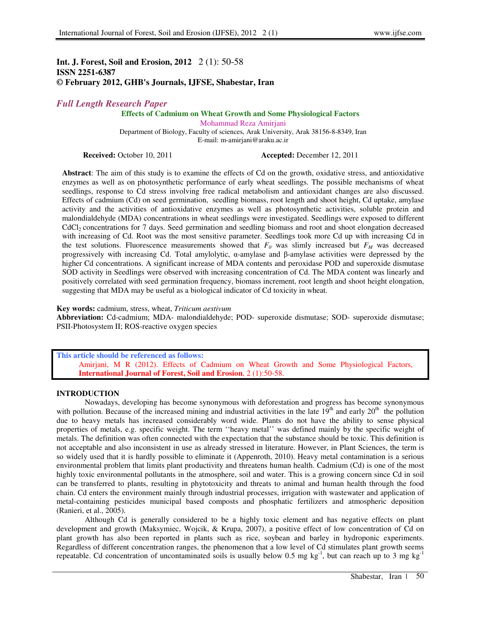# **Int. J. Forest, Soil and Erosion, 2012** 2 (1): 50-58 **ISSN 2251-6387 © February 2012, GHB's Journals, IJFSE, Shabestar, Iran**

# *Full Length Research Paper*

# **Effects of Cadmium on Wheat Growth and Some Physiological Factors**

Mohammad Reza Amirjani Department of Biology, Faculty of sciences, Arak University, Arak 38156-8-8349, Iran E-mail: m-amirjani@araku.ac.ir

**Received:** October 10, 2011 **Accepted:** December 12, 2011

**Abstract**: The aim of this study is to examine the effects of Cd on the growth, oxidative stress, and antioxidative enzymes as well as on photosynthetic performance of early wheat seedlings. The possible mechanisms of wheat seedlings, response to Cd stress involving free radical metabolism and antioxidant changes are also discussed. Effects of cadmium (Cd) on seed germination, seedling biomass, root length and shoot height, Cd uptake, amylase activity and the activities of antioxidative enzymes as well as photosynthetic activities, soluble protein and malondialdehyde (MDA) concentrations in wheat seedlings were investigated. Seedlings were exposed to different CdCl2 concentrations for 7 days. Seed germination and seedling biomass and root and shoot elongation decreased with increasing of Cd. Root was the most sensitive parameter. Seedlings took more Cd up with increasing Cd in the test solutions. Fluorescence measurements showed that  $F<sub>0</sub>$  was slimly increased but  $F<sub>M</sub>$  was decreased progressively with increasing Cd. Total amylolytic,  $\alpha$ -amylase and β-amylase activities were depressed by the higher Cd concentrations. A significant increase of MDA contents and peroxidase POD and superoxide dismutase SOD activity in Seedlings were observed with increasing concentration of Cd. The MDA content was linearly and positively correlated with seed germination frequency, biomass increment, root length and shoot height elongation, suggesting that MDA may be useful as a biological indicator of Cd toxicity in wheat.

**Key words:** cadmium, stress, wheat, *Triticum aestivum* 

**Abbreviation:** Cd-cadmium; MDA- malondialdehyde; POD- superoxide dismutase; SOD- superoxide dismutase; PSII-Photosystem II; ROS-reactive oxygen species

**This article should be referenced as follows:**  Amirjani, M R (2012). Effects of Cadmium on Wheat Growth and Some Physiological Factors, **International Journal of Forest, Soil and Erosion**, 2 (1):50-58.

# **INTRODUCTION**

Nowadays, developing has become synonymous with deforestation and progress has become synonymous with pollution. Because of the increased mining and industrial activities in the late  $19<sup>th</sup>$  and early  $20<sup>th</sup>$  the pollution due to heavy metals has increased considerably word wide. Plants do not have the ability to sense physical properties of metals, e.g. specific weight. The term ''heavy metal'' was defined mainly by the specific weight of metals. The definition was often connected with the expectation that the substance should be toxic. This definition is not acceptable and also inconsistent in use as already stressed in literature. However, in Plant Sciences, the term is so widely used that it is hardly possible to eliminate it (Appenroth, 2010). Heavy metal contamination is a serious environmental problem that limits plant productivity and threatens human health. Cadmium (Cd) is one of the most highly toxic environmental pollutants in the atmosphere, soil and water. This is a growing concern since Cd in soil can be transferred to plants, resulting in phytotoxicity and threats to animal and human health through the food chain. Cd enters the environment mainly through industrial processes, irrigation with wastewater and application of metal-containing pesticides municipal based composts and phosphatic fertilizers and atmospheric deposition (Ranieri, et al., 2005).

Although Cd is generally considered to be a highly toxic element and has negative effects on plant development and growth (Maksymiec, Wojcik, & Krupa, 2007), a positive effect of low concentration of Cd on plant growth has also been reported in plants such as rice, soybean and barley in hydroponic experiments. Regardless of different concentration ranges, the phenomenon that a low level of Cd stimulates plant growth seems repeatable. Cd concentration of uncontaminated soils is usually below 0.5 mg kg<sup>-1</sup>, but can reach up to 3 mg kg<sup>-1</sup>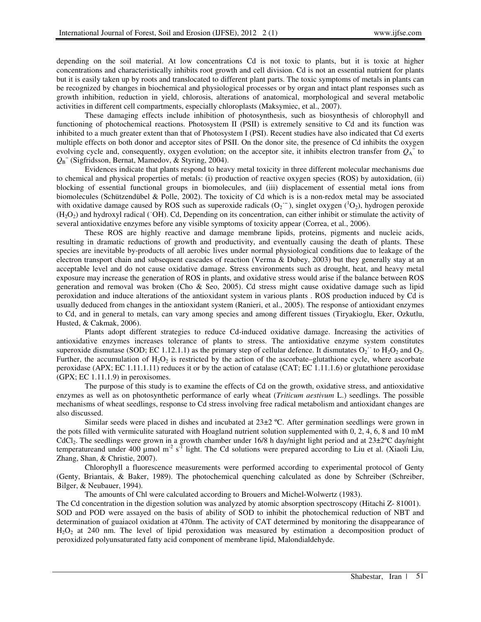depending on the soil material. At low concentrations Cd is not toxic to plants, but it is toxic at higher concentrations and characteristically inhibits root growth and cell division. Cd is not an essential nutrient for plants but it is easily taken up by roots and translocated to different plant parts. The toxic symptoms of metals in plants can be recognized by changes in biochemical and physiological processes or by organ and intact plant responses such as growth inhibition, reduction in yield, chlorosis, alterations of anatomical, morphological and several metabolic activities in different cell compartments, especially chloroplasts (Maksymiec, et al., 2007).

These damaging effects include inhibition of photosynthesis, such as biosynthesis of chlorophyll and functioning of photochemical reactions. Photosystem II (PSII) is extremely sensitive to Cd and its function was inhibited to a much greater extent than that of Photosystem I (PSI). Recent studies have also indicated that Cd exerts multiple effects on both donor and acceptor sites of PSII. On the donor site, the presence of Cd inhibits the oxygen evolving cycle and, consequently, oxygen evolution; on the acceptor site, it inhibits electron transfer from  $Q_A^{\dagger}$  to *Q*<sup>B</sup> − (Sigfridsson, Bernat, Mamedov, & Styring, 2004).

Evidences indicate that plants respond to heavy metal toxicity in three different molecular mechanisms due to chemical and physical properties of metals: (i) production of reactive oxygen species (ROS) by autoxidation, (ii) blocking of essential functional groups in biomolecules, and (iii) displacement of essential metal ions from biomolecules (Schützendübel & Polle, 2002). The toxicity of Cd which is is a non-redox metal may be associated with oxidative damage caused by ROS such as superoxide radicals  $(O_2^{\text{-}})$ , singlet oxygen  $(^1O_2)$ , hydrogen peroxide  $(H<sub>2</sub>O<sub>2</sub>)$  and hydroxyl radical ( $'OH$ ). Cd, Depending on its concentration, can either inhibit or stimulate the activity of several antioxidative enzymes before any visible symptoms of toxicity appear (Correa, et al., 2006).

These ROS are highly reactive and damage membrane lipids, proteins, pigments and nucleic acids, resulting in dramatic reductions of growth and productivity, and eventually causing the death of plants. These species are inevitable by-products of all aerobic lives under normal physiological conditions due to leakage of the electron transport chain and subsequent cascades of reaction (Verma & Dubey, 2003) but they generally stay at an acceptable level and do not cause oxidative damage. Stress environments such as drought, heat, and heavy metal exposure may increase the generation of ROS in plants, and oxidative stress would arise if the balance between ROS generation and removal was broken (Cho & Seo, 2005). Cd stress might cause oxidative damage such as lipid peroxidation and induce alterations of the antioxidant system in various plants . ROS production induced by Cd is usually deduced from changes in the antioxidant system (Ranieri, et al., 2005). The response of antioxidant enzymes to Cd, and in general to metals, can vary among species and among different tissues (Tiryakioglu, Eker, Ozkutlu, Husted, & Cakmak, 2006).

Plants adopt different strategies to reduce Cd-induced oxidative damage. Increasing the activities of antioxidative enzymes increases tolerance of plants to stress. The antioxidative enzyme system constitutes superoxide dismutase (SOD; EC 1.12.1.1) as the primary step of cellular defence. It dismutates  $O_2$ <sup> $\cdot$ </sup> to  $H_2O_2$  and  $O_2$ . Further, the accumulation of  $H_2O_2$  is restricted by the action of the ascorbate–glutathione cycle, where ascorbate peroxidase (APX; EC 1.11.1.11) reduces it or by the action of catalase (CAT; EC 1.11.1.6) or glutathione peroxidase  $(GPX; EC 1.11.1.9)$  in peroxisomes.

The purpose of this study is to examine the effects of Cd on the growth, oxidative stress, and antioxidative enzymes as well as on photosynthetic performance of early wheat (*Triticum aestivum* L.) seedlings. The possible mechanisms of wheat seedlings, response to Cd stress involving free radical metabolism and antioxidant changes are also discussed.

Similar seeds were placed in dishes and incubated at  $23\pm2$  °C. After germination seedlings were grown in the pots filled with vermiculite saturated with Hoagland nutrient solution supplemented with 0, 2, 4, 6, 8 and 10 mM CdCl2. The seedlings were grown in a growth chamber under 16/8 h day/night light period and at 23±2ºC day/night temperatureand under 400  $\mu$ mol m<sup>-2</sup> s<sup>-1</sup> light. The Cd solutions were prepared according to Liu et al. (Xiaoli Liu, Zhang, Shan, & Christie, 2007).

Chlorophyll a fluorescence measurements were performed according to experimental protocol of Genty (Genty, Briantais, & Baker, 1989). The photochemical quenching calculated as done by Schreiber (Schreiber, Bilger, & Neubauer, 1994).

The amounts of Chl were calculated according to Brouers and Michel-Wolwertz (1983).

The Cd concentration in the digestion solution was analyzed by atomic absorption spectroscopy (Hitachi Z- 81001). SOD and POD were assayed on the basis of ability of SOD to inhibit the photochemical reduction of NBT and determination of guaiacol oxidation at 470nm. The activity of CAT determined by monitoring the disappearance of H2O2 at 240 nm. The level of lipid peroxidation was measured by estimation a decomposition product of peroxidized polyunsaturated fatty acid component of membrane lipid, Malondialdehyde.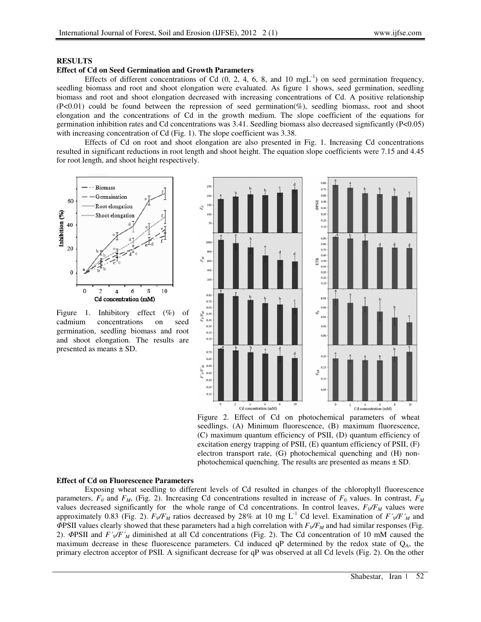### **RESULTS**

### **Effect of Cd on Seed Germination and Growth Parameters**

Effects of different concentrations of Cd  $(0, 2, 4, 6, 8, \text{ and } 10 \text{ mgL}^{-1})$  on seed germination frequency, seedling biomass and root and shoot elongation were evaluated. As figure 1 shows, seed germination, seedling biomass and root and shoot elongation decreased with increasing concentrations of Cd. A positive relationship (P<0.01) could be found between the repression of seed germination(%), seedling biomass, root and shoot elongation and the concentrations of Cd in the growth medium. The slope coefficient of the equations for germination inhibition rates and Cd concentrations was 3.41. Seedling biomass also decreased significantly (P<0.05) with increasing concentration of Cd (Fig. 1). The slope coefficient was 3.38.

Effects of Cd on root and shoot elongation are also presented in Fig. 1. Increasing Cd concentrations resulted in significant reductions in root length and shoot height. The equation slope coefficients were 7.15 and 4.45 for root length, and shoot height respectively.



Figure 1. Inhibitory effect (%) of cadmium concentrations on seed germination, seedling biomass and root and shoot elongation. The results are presented as means ± SD.



Figure 2. Effect of Cd on photochemical parameters of wheat seedlings. (A) Minimum fluorescence, (B) maximum fluorescence, (C) maximum quantum efficiency of PSII, (D) quantum efficiency of excitation energy trapping of PSII, (E) quantum efficiency of PSII, (F) electron transport rate, (G) photochemical quenching and (H) nonphotochemical quenching. The results are presented as means ± SD.

#### **Effect of Cd on Fluorescence Parameters**

Exposing wheat seedling to different levels of Cd resulted in changes of the chlorophyll fluorescence parameters, *F0* and *FM*, (Fig. 2). Increasing Cd concentrations resulted in increase of *F*0 values. In contrast, *F<sup>M</sup>* values decreased significantly for the whole range of Cd concentrations. In control leaves,  $F_V/F_M$  values were approximately 0.83 (Fig. 2).  $F_V/F_M$  ratios decreased by 28% at 10 mg L<sup>-1</sup> Cd level. Examination of  $F_V/F_M$  and ΦPSII values clearly showed that these parameters had a high correlation with  $F_V/F_M$  and had similar responses (Fig. 2). ΦPSII and *F´V/F´M* diminished at all Cd concentrations (Fig. 2). The Cd concentration of 10 mM caused the maximum decrease in these fluorescence parameters. Cd induced  $qP$  determined by the redox state of  $Q_A$ , the primary electron acceptor of PSII. A significant decrease for qP was observed at all Cd levels (Fig. 2). On the other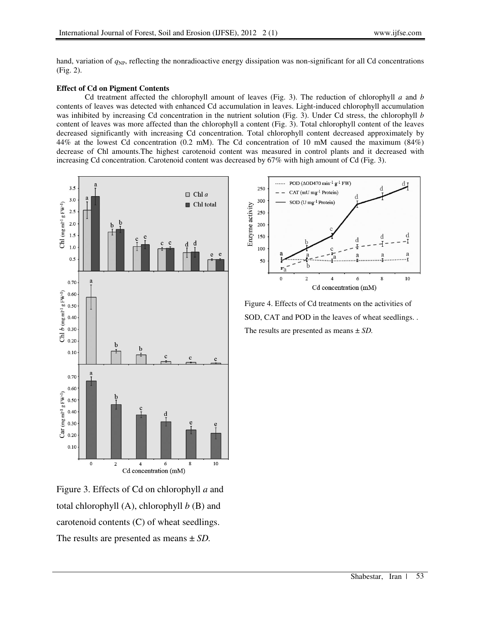hand, variation of  $q_{NP}$ , reflecting the nonradioactive energy dissipation was non-significant for all Cd concentrations (Fig. 2).

# **Effect of Cd on Pigment Contents**

Cd treatment affected the chlorophyll amount of leaves (Fig. 3). The reduction of chlorophyll *a* and *b* contents of leaves was detected with enhanced Cd accumulation in leaves. Light-induced chlorophyll accumulation was inhibited by increasing Cd concentration in the nutrient solution (Fig. 3). Under Cd stress, the chlorophyll *b* content of leaves was more affected than the chlorophyll a content (Fig. 3). Total chlorophyll content of the leaves decreased significantly with increasing Cd concentration. Total chlorophyll content decreased approximately by 44% at the lowest Cd concentration (0.2 mM). The Cd concentration of 10 mM caused the maximum (84%) decrease of Chl amounts.The highest carotenoid content was measured in control plants and it decreased with increasing Cd concentration. Carotenoid content was decreased by 67% with high amount of Cd (Fig. 3).



Figure 3. Effects of Cd on chlorophyll *a* and total chlorophyll (A), chlorophyll *b* (B) and carotenoid contents (C) of wheat seedlings. The results are presented as means ± *SD.*



Figure 4. Effects of Cd treatments on the activities of SOD, CAT and POD in the leaves of wheat seedlings. . The results are presented as means ± *SD.*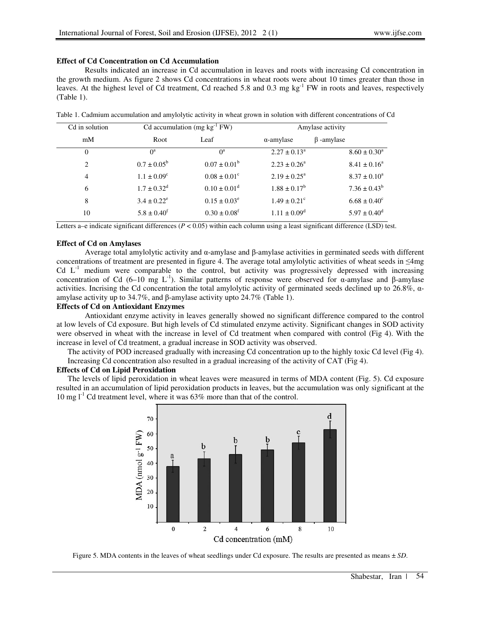## **Effect of Cd Concentration on Cd Accumulation**

Results indicated an increase in Cd accumulation in leaves and roots with increasing Cd concentration in the growth medium. As figure 2 shows Cd concentrations in wheat roots were about 10 times greater than those in leaves. At the highest level of Cd treatment, Cd reached 5.8 and 0.3 mg  $kg^{-1}$  FW in roots and leaves, respectively (Table 1).

| Cd in solution | Cd accumulation $(mg kg^{-1} FW)$ |                              | Amylase activity             |                         |
|----------------|-----------------------------------|------------------------------|------------------------------|-------------------------|
| mM             | Root                              | Leaf                         | $\alpha$ -amylase            | $\beta$ -amylase        |
| $\Omega$       | O <sup>a</sup>                    | $0^a$                        | $2.27 \pm 0.13^a$            | $8.60 \pm 0.30^a$       |
| 2              | $0.7 \pm 0.05^{\rm b}$            | $0.07 \pm 0.01^{\rm b}$      | $2.23 \pm 0.26^a$            | $8.41 \pm 0.16^a$       |
| $\overline{4}$ | $1.1 \pm 0.09^c$                  | $0.08 \pm 0.01^{\circ}$      | $2.19 \pm 0.25^{\text{a}}$   | $8.37 \pm 0.10^a$       |
| 6              | $1.7 \pm 0.32^{\text{d}}$         | $0.10 \pm 0.01$ <sup>d</sup> | $1.88 \pm 0.17^b$            | $7.36 \pm 0.43^b$       |
| 8              | $3.4 \pm 0.22^e$                  | $0.15 \pm 0.03^e$            | $1.49 \pm 0.21$ <sup>c</sup> | $6.68 \pm 0.40^{\circ}$ |
| 10             | $5.8 \pm 0.40^{\text{f}}$         | $0.30 \pm 0.08$ <sup>f</sup> | $1.11 \pm 0.09^{\rm d}$      | $5.97 \pm 0.40^{\rm d}$ |

Table 1. Cadmium accumulation and amylolytic activity in wheat grown in solution with different concentrations of Cd

Letters a–e indicate significant differences  $(P < 0.05)$  within each column using a least significant difference (LSD) test.

### **Effect of Cd on Amylases**

Average total amylolytic activity and α-amylase and β-amylase activities in germinated seeds with different concentrations of treatment are presented in figure 4. The average total amylolytic activities of wheat seeds in  $\leq 4$ mg Cd  $L<sup>-1</sup>$  medium were comparable to the control, but activity was progressively depressed with increasing concentration of Cd (6–10 mg L<sup>-1</sup>). Similar patterns of response were observed for α-amylase and β-amylase activities. Incrising the Cd concentration the total amylolytic activity of germinated seeds declined up to 26.8%, αamylase activity up to 34.7%, and β-amylase activity upto 24.7% (Table 1).

# **Effects of Cd on Antioxidant Enzymes**

Antioxidant enzyme activity in leaves generally showed no significant difference compared to the control at low levels of Cd exposure. But high levels of Cd stimulated enzyme activity. Significant changes in SOD activity were observed in wheat with the increase in level of Cd treatment when compared with control (Fig 4). With the increase in level of Cd treatment, a gradual increase in SOD activity was observed.

The activity of POD increased gradually with increasing Cd concentration up to the highly toxic Cd level (Fig 4). Increasing Cd concentration also resulted in a gradual increasing of the activity of CAT (Fig 4).

#### **Effects of Cd on Lipid Peroxidation**

The levels of lipid peroxidation in wheat leaves were measured in terms of MDA content (Fig. 5). Cd exposure resulted in an accumulation of lipid peroxidation products in leaves, but the accumulation was only significant at the 10 mg  $l^{-1}$  Cd treatment level, where it was 63% more than that of the control.



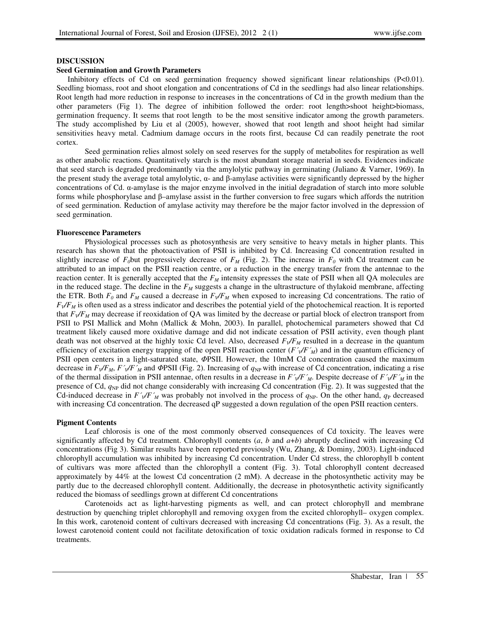### **DISCUSSION**

### **Seed Germination and Growth Parameters**

Inhibitory effects of Cd on seed germination frequency showed significant linear relationships (P<0.01). Seedling biomass, root and shoot elongation and concentrations of Cd in the seedlings had also linear relationships. Root length had more reduction in response to increases in the concentrations of Cd in the growth medium than the other parameters (Fig 1). The degree of inhibition followed the order: root length>shoot height>biomass, germination frequency. It seems that root length to be the most sensitive indicator among the growth parameters. The study accomplished by Liu et al (2005), however, showed that root length and shoot height had similar sensitivities heavy metal. Cadmium damage occurs in the roots first, because Cd can readily penetrate the root cortex.

Seed germination relies almost solely on seed reserves for the supply of metabolites for respiration as well as other anabolic reactions. Quantitatively starch is the most abundant storage material in seeds. Evidences indicate that seed starch is degraded predominantly via the amylolytic pathway in germinating (Juliano & Varner, 1969). In the present study the average total amylolytic, α- and β-amylase activities were significantly depressed by the higher concentrations of Cd. α-amylase is the major enzyme involved in the initial degradation of starch into more soluble forms while phosphorylase and β–amylase assist in the further conversion to free sugars which affords the nutrition of seed germination. Reduction of amylase activity may therefore be the major factor involved in the depression of seed germination.

### **Fluorescence Parameters**

Physiological processes such as photosynthesis are very sensitive to heavy metals in higher plants. This research has shown that the photoactivation of PSII is inhibited by Cd. Increasing Cd concentration resulted in slightly increase of  $F<sub>0</sub>$ but progressively decrease of  $F<sub>M</sub>$  (Fig. 2). The increase in  $F<sub>0</sub>$  with Cd treatment can be attributed to an impact on the PSII reaction centre, or a reduction in the energy transfer from the antennae to the reaction center. It is generally accepted that the *FM* intensity expresses the state of PSII when all QA molecules are in the reduced stage. The decline in the *FM* suggests a change in the ultrastructure of thylakoid membrane, affecting the ETR. Both  $F_0$  and  $F_M$  caused a decrease in  $F_V/F_M$  when exposed to increasing Cd concentrations. The ratio of  $F\sqrt{F_M}$  is often used as a stress indicator and describes the potential yield of the photochemical reaction. It is reported that  $F\sqrt{F_M}$  may decrease if reoxidation of QA was limited by the decrease or partial block of electron transport from PSII to PSI Mallick and Mohn (Mallick & Mohn, 2003). In parallel, photochemical parameters showed that Cd treatment likely caused more oxidative damage and did not indicate cessation of PSII activity, even though plant death was not observed at the highly toxic Cd level. Also, decreased *FV/FM* resulted in a decrease in the quantum efficiency of excitation energy trapping of the open PSII reaction center  $(F\sqrt{F\gamma_M})$  and in the quantum efficiency of PSII open centers in a light-saturated state, ΦPSII. However, the 10mM Cd concentration caused the maximum decrease in  $F_V/F_M$ ,  $F'_{M}F'_{M}$  and  $\Phi$ PSII (Fig. 2). Increasing of  $q_{NP}$  with increase of Cd concentration, indicating a rise of the thermal dissipation in PSII antennae, often results in a decrease in *F´V/F´M*. Despite decrease of *F´V/F´M* in the presence of Cd, *q*NP did not change considerably with increasing Cd concentration (Fig. 2). It was suggested that the Cd-induced decrease in  $F'_{\mathcal{N}}F'_{\mathcal{M}}$  was probably not involved in the process of  $q_{\rm NP}$ . On the other hand,  $q_{\rm P}$  decreased with increasing Cd concentration. The decreased qP suggested a down regulation of the open PSII reaction centers.

### **Pigment Contents**

Leaf chlorosis is one of the most commonly observed consequences of Cd toxicity. The leaves were significantly affected by Cd treatment. Chlorophyll contents (*a*, *b* and *a*+*b*) abruptly declined with increasing Cd concentrations (Fig 3). Similar results have been reported previously (Wu, Zhang, & Dominy, 2003). Light-induced chlorophyll accumulation was inhibited by increasing Cd concentration. Under Cd stress, the chlorophyll b content of cultivars was more affected than the chlorophyll a content (Fig. 3). Total chlorophyll content decreased approximately by 44% at the lowest Cd concentration (2 mM). A decrease in the photosynthetic activity may be partly due to the decreased chlorophyll content. Additionally, the decrease in photosynthetic activity significantly reduced the biomass of seedlings grown at different Cd concentrations

Carotenoids act as light-harvesting pigments as well, and can protect chlorophyll and membrane destruction by quenching triplet chlorophyll and removing oxygen from the excited chlorophyll– oxygen complex. In this work, carotenoid content of cultivars decreased with increasing Cd concentrations (Fig. 3). As a result, the lowest carotenoid content could not facilitate detoxification of toxic oxidation radicals formed in response to Cd treatments.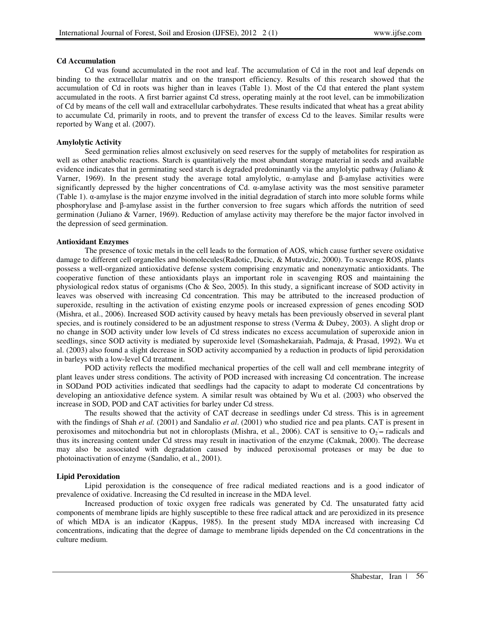## **Cd Accumulation**

Cd was found accumulated in the root and leaf. The accumulation of Cd in the root and leaf depends on binding to the extracellular matrix and on the transport efficiency. Results of this research showed that the accumulation of Cd in roots was higher than in leaves (Table 1). Most of the Cd that entered the plant system accumulated in the roots. A first barrier against Cd stress, operating mainly at the root level, can be immobilization of Cd by means of the cell wall and extracellular carbohydrates. These results indicated that wheat has a great ability to accumulate Cd, primarily in roots, and to prevent the transfer of excess Cd to the leaves. Similar results were reported by Wang et al. (2007).

# **Amylolytic Activity**

Seed germination relies almost exclusively on seed reserves for the supply of metabolites for respiration as well as other anabolic reactions. Starch is quantitatively the most abundant storage material in seeds and available evidence indicates that in germinating seed starch is degraded predominantly via the amylolytic pathway (Juliano  $\&$ Varner, 1969). In the present study the average total amylolytic, α-amylase and β-amylase activities were significantly depressed by the higher concentrations of Cd.  $\alpha$ -amylase activity was the most sensitive parameter (Table 1). α-amylase is the major enzyme involved in the initial degradation of starch into more soluble forms while phosphorylase and β-amylase assist in the further conversion to free sugars which affords the nutrition of seed germination (Juliano & Varner, 1969). Reduction of amylase activity may therefore be the major factor involved in the depression of seed germination.

# **Antioxidant Enzymes**

The presence of toxic metals in the cell leads to the formation of AOS, which cause further severe oxidative damage to different cell organelles and biomolecules(Radotic, Ducic, & Mutavdzic, 2000). To scavenge ROS, plants possess a well-organized antioxidative defense system comprising enzymatic and nonenzymatic antioxidants. The cooperative function of these antioxidants plays an important role in scavenging ROS and maintaining the physiological redox status of organisms (Cho & Seo, 2005). In this study, a significant increase of SOD activity in leaves was observed with increasing Cd concentration. This may be attributed to the increased production of superoxide, resulting in the activation of existing enzyme pools or increased expression of genes encoding SOD (Mishra, et al., 2006). Increased SOD activity caused by heavy metals has been previously observed in several plant species, and is routinely considered to be an adjustment response to stress (Verma & Dubey, 2003). A slight drop or no change in SOD activity under low levels of Cd stress indicates no excess accumulation of superoxide anion in seedlings, since SOD activity is mediated by superoxide level (Somashekaraiah, Padmaja, & Prasad, 1992). Wu et al. (2003) also found a slight decrease in SOD activity accompanied by a reduction in products of lipid peroxidation in barleys with a low-level Cd treatment.

POD activity reflects the modified mechanical properties of the cell wall and cell membrane integrity of plant leaves under stress conditions. The activity of POD increased with increasing Cd concentration. The increase in SODand POD activities indicated that seedlings had the capacity to adapt to moderate Cd concentrations by developing an antioxidative defence system. A similar result was obtained by Wu et al. (2003) who observed the increase in SOD, POD and CAT activities for barley under Cd stress.

The results showed that the activity of CAT decrease in seedlings under Cd stress. This is in agreement with the findings of Shah *et al.* (2001) and Sandalio *et al.* (2001) who studied rice and pea plants. CAT is present in peroxisomes and mitochondria but not in chloroplasts (Mishra, et al., 2006). CAT is sensitive to O<sub>2</sub> – radicals and thus its increasing content under Cd stress may result in inactivation of the enzyme (Cakmak, 2000). The decrease may also be associated with degradation caused by induced peroxisomal proteases or may be due to photoinactivation of enzyme (Sandalio, et al., 2001).

# **Lipid Peroxidation**

Lipid peroxidation is the consequence of free radical mediated reactions and is a good indicator of prevalence of oxidative. Increasing the Cd resulted in increase in the MDA level.

Increased production of toxic oxygen free radicals was generated by Cd. The unsaturated fatty acid components of membrane lipids are highly susceptible to these free radical attack and are peroxidized in its presence of which MDA is an indicator (Kappus, 1985). In the present study MDA increased with increasing Cd concentrations, indicating that the degree of damage to membrane lipids depended on the Cd concentrations in the culture medium.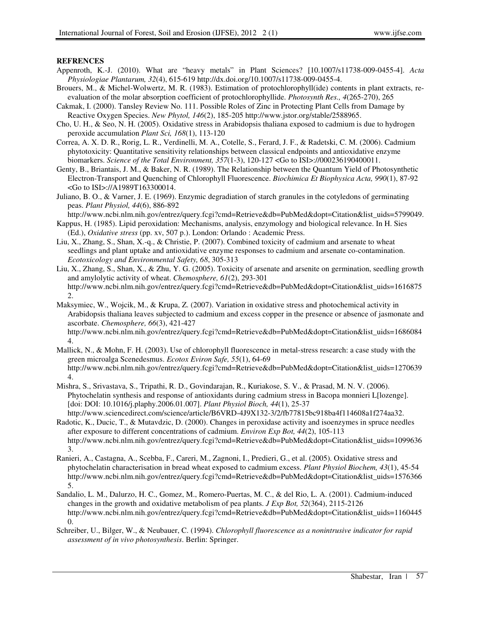## **REFRENCES**

- Appenroth, K.-J. (2010). What are "heavy metals" in Plant Sciences? [10.1007/s11738-009-0455-4]. *Acta Physiologiae Plantarum, 32*(4), 615-619 http://dx.doi.org/10.1007/s11738-009-0455-4.
- Brouers, M., & Michel-Wolwertz, M. R. (1983). Estimation of protochlorophyll(ide) contents in plant extracts, reevaluation of the molar absorption coefficient of protochlorophyllide. *Photosynth Res., 4*(265-270), 265
- Cakmak, I. (2000). Tansley Review No. 111. Possible Roles of Zinc in Protecting Plant Cells from Damage by Reactive Oxygen Species. *New Phytol, 146*(2), 185-205 http://www.jstor.org/stable/2588965.
- Cho, U. H., & Seo, N. H. (2005). Oxidative stress in Arabidopsis thaliana exposed to cadmium is due to hydrogen peroxide accumulation *Plant Sci, 168*(1), 113-120
- Correa, A. X. D. R., Rorig, L. R., Verdinelli, M. A., Cotelle, S., Ferard, J. F., & Radetski, C. M. (2006). Cadmium phytotoxicity: Quantitative sensitivity relationships between classical endpoints and antioxidative enzyme biomarkers. *Science of the Total Environment, 357*(1-3), 120-127 <Go to ISI>://000236190400011.
- Genty, B., Briantais, J. M., & Baker, N. R. (1989). The Relationship between the Quantum Yield of Photosynthetic Electron-Transport and Quenching of Chlorophyll Fluorescence. *Biochimica Et Biophysica Acta, 990*(1), 87-92 <Go to ISI>://A1989T163300014.
- Juliano, B. O., & Varner, J. E. (1969). Enzymic degradiation of starch granules in the cotyledons of germinating peas. *Plant Physiol, 44*(6), 886-892

http://www.ncbi.nlm.nih.gov/entrez/query.fcgi?cmd=Retrieve&db=PubMed&dopt=Citation&list\_uids=5799049.

- Kappus, H. (1985). Lipid peroxidation: Mechanisms, analysis, enzymology and biological relevance. In H. Sies (Ed.), *Oxidative stress* (pp. xv, 507 p.). London: Orlando : Academic Press.
- Liu, X., Zhang, S., Shan, X.-q., & Christie, P. (2007). Combined toxicity of cadmium and arsenate to wheat seedlings and plant uptake and antioxidative enzyme responses to cadmium and arsenate co-contamination. *Ecotoxicology and Environmental Safety, 68*, 305-313
- Liu, X., Zhang, S., Shan, X., & Zhu, Y. G. (2005). Toxicity of arsenate and arsenite on germination, seedling growth and amylolytic activity of wheat. *Chemosphere, 61*(2), 293-301 http://www.ncbi.nlm.nih.gov/entrez/query.fcgi?cmd=Retrieve&db=PubMed&dopt=Citation&list\_uids=1616875 2.
- Maksymiec, W., Wojcik, M., & Krupa, Z. (2007). Variation in oxidative stress and photochemical activity in Arabidopsis thaliana leaves subjected to cadmium and excess copper in the presence or absence of jasmonate and ascorbate. *Chemosphere, 66*(3), 421-427

http://www.ncbi.nlm.nih.gov/entrez/query.fcgi?cmd=Retrieve&db=PubMed&dopt=Citation&list\_uids=1686084 4.

Mallick, N., & Mohn, F. H. (2003). Use of chlorophyll fluorescence in metal-stress research: a case study with the green microalga Scenedesmus. *Ecotox Eviron Safe, 55*(1), 64-69 http://www.ncbi.nlm.nih.gov/entrez/query.fcgi?cmd=Retrieve&db=PubMed&dopt=Citation&list\_uids=1270639 4.

- Mishra, S., Srivastava, S., Tripathi, R. D., Govindarajan, R., Kuriakose, S. V., & Prasad, M. N. V. (2006). Phytochelatin synthesis and response of antioxidants during cadmium stress in Bacopa monnieri L[lozenge]. [doi: DOI: 10.1016/j.plaphy.2006.01.007]. *Plant Physiol Bioch, 44*(1), 25-37 http://www.sciencedirect.com/science/article/B6VRD-4J9X132-3/2/fb77815bc918ba4f114608a1f274aa32.
- Radotic, K., Ducic, T., & Mutavdzic, D. (2000). Changes in peroxidase activity and isoenzymes in spruce needles after exposure to different concentrations of cadmium. *Environ Exp Bot, 44*(2), 105-113 http://www.ncbi.nlm.nih.gov/entrez/query.fcgi?cmd=Retrieve&db=PubMed&dopt=Citation&list\_uids=1099636 3.
- Ranieri, A., Castagna, A., Scebba, F., Careri, M., Zagnoni, I., Predieri, G., et al. (2005). Oxidative stress and phytochelatin characterisation in bread wheat exposed to cadmium excess. *Plant Physiol Biochem, 43*(1), 45-54 http://www.ncbi.nlm.nih.gov/entrez/query.fcgi?cmd=Retrieve&db=PubMed&dopt=Citation&list\_uids=1576366 5.
- Sandalio, L. M., Dalurzo, H. C., Gomez, M., Romero-Puertas, M. C., & del Rio, L. A. (2001). Cadmium-induced changes in the growth and oxidative metabolism of pea plants. *J Exp Bot, 52*(364), 2115-2126 http://www.ncbi.nlm.nih.gov/entrez/query.fcgi?cmd=Retrieve&db=PubMed&dopt=Citation&list\_uids=1160445 0.
- Schreiber, U., Bilger, W., & Neubauer, C. (1994). *Chlorophyll fluorescence as a nonintrusive indicator for rapid assessment of in vivo photosynthesis*. Berlin: Springer.